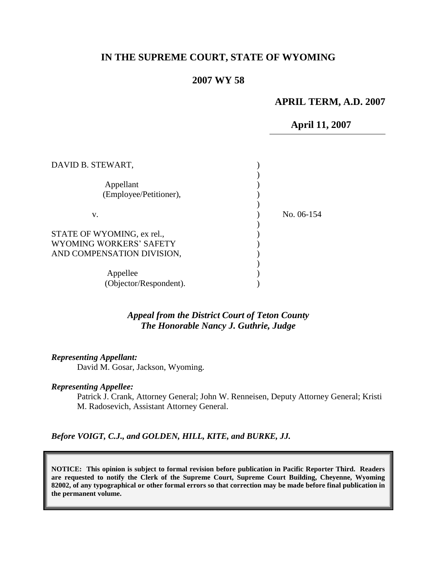# **IN THE SUPREME COURT, STATE OF WYOMING**

## **2007 WY 58**

### **APRIL TERM, A.D. 2007**

### **April 11, 2007**

| No. 06-154 |
|------------|
|            |
|            |
|            |
|            |
|            |
|            |
|            |
|            |

### *Appeal from the District Court of Teton County The Honorable Nancy J. Guthrie, Judge*

#### *Representing Appellant:*

David M. Gosar, Jackson, Wyoming.

#### *Representing Appellee:*

Patrick J. Crank, Attorney General; John W. Renneisen, Deputy Attorney General; Kristi M. Radosevich, Assistant Attorney General.

*Before VOIGT, C.J., and GOLDEN, HILL, KITE, and BURKE, JJ.*

**NOTICE: This opinion is subject to formal revision before publication in Pacific Reporter Third. Readers are requested to notify the Clerk of the Supreme Court, Supreme Court Building, Cheyenne, Wyoming 82002, of any typographical or other formal errors so that correction may be made before final publication in the permanent volume.**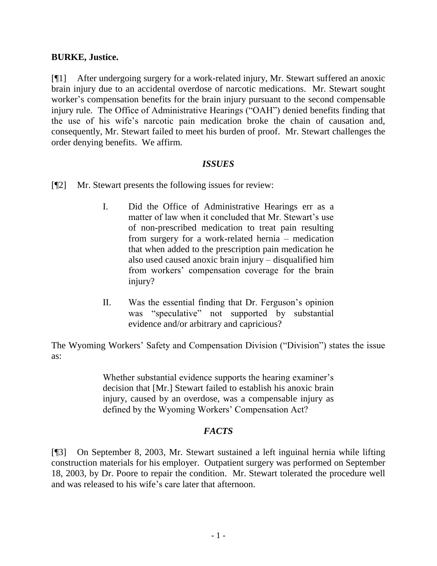## **BURKE, Justice.**

[¶1] After undergoing surgery for a work-related injury, Mr. Stewart suffered an anoxic brain injury due to an accidental overdose of narcotic medications. Mr. Stewart sought worker's compensation benefits for the brain injury pursuant to the second compensable injury rule. The Office of Administrative Hearings ("OAH") denied benefits finding that the use of his wife's narcotic pain medication broke the chain of causation and, consequently, Mr. Stewart failed to meet his burden of proof. Mr. Stewart challenges the order denying benefits. We affirm.

### *ISSUES*

- [¶2] Mr. Stewart presents the following issues for review:
	- I. Did the Office of Administrative Hearings err as a matter of law when it concluded that Mr. Stewart's use of non-prescribed medication to treat pain resulting from surgery for a work-related hernia – medication that when added to the prescription pain medication he also used caused anoxic brain injury – disqualified him from workers' compensation coverage for the brain injury?
	- II. Was the essential finding that Dr. Ferguson's opinion was "speculative" not supported by substantial evidence and/or arbitrary and capricious?

The Wyoming Workers' Safety and Compensation Division ("Division") states the issue as:

> Whether substantial evidence supports the hearing examiner's decision that [Mr.] Stewart failed to establish his anoxic brain injury, caused by an overdose, was a compensable injury as defined by the Wyoming Workers' Compensation Act?

## *FACTS*

[¶3] On September 8, 2003, Mr. Stewart sustained a left inguinal hernia while lifting construction materials for his employer. Outpatient surgery was performed on September 18, 2003, by Dr. Poore to repair the condition. Mr. Stewart tolerated the procedure well and was released to his wife's care later that afternoon.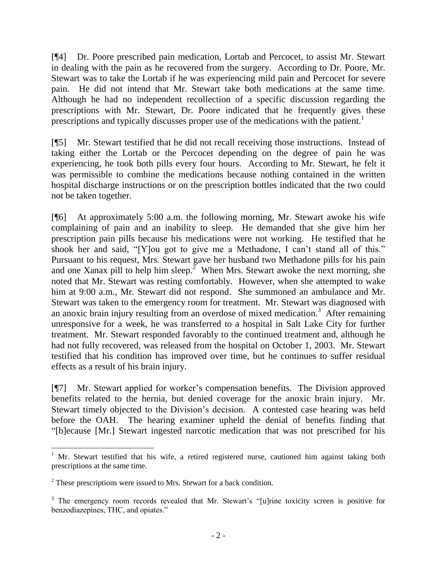[¶4] Dr. Poore prescribed pain medication, Lortab and Percocet, to assist Mr. Stewart in dealing with the pain as he recovered from the surgery. According to Dr. Poore, Mr. Stewart was to take the Lortab if he was experiencing mild pain and Percocet for severe pain. He did not intend that Mr. Stewart take both medications at the same time. Although he had no independent recollection of a specific discussion regarding the prescriptions with Mr. Stewart, Dr. Poore indicated that he frequently gives these prescriptions and typically discusses proper use of the medications with the patient.<sup>1</sup>

[¶5] Mr. Stewart testified that he did not recall receiving those instructions. Instead of taking either the Lortab or the Percocet depending on the degree of pain he was experiencing, he took both pills every four hours. According to Mr. Stewart, he felt it was permissible to combine the medications because nothing contained in the written hospital discharge instructions or on the prescription bottles indicated that the two could not be taken together.

[¶6] At approximately 5:00 a.m. the following morning, Mr. Stewart awoke his wife complaining of pain and an inability to sleep. He demanded that she give him her prescription pain pills because his medications were not working. He testified that he shook her and said, "[Y]ou got to give me a Methadone, I can't stand all of this." Pursuant to his request, Mrs. Stewart gave her husband two Methadone pills for his pain and one Xanax pill to help him sleep.<sup>2</sup> When Mrs. Stewart awoke the next morning, she noted that Mr. Stewart was resting comfortably. However, when she attempted to wake him at 9:00 a.m., Mr. Stewart did not respond. She summoned an ambulance and Mr. Stewart was taken to the emergency room for treatment. Mr. Stewart was diagnosed with an anoxic brain injury resulting from an overdose of mixed medication.<sup>3</sup> After remaining unresponsive for a week, he was transferred to a hospital in Salt Lake City for further treatment. Mr. Stewart responded favorably to the continued treatment and, although he had not fully recovered, was released from the hospital on October 1, 2003. Mr. Stewart testified that his condition has improved over time, but he continues to suffer residual effects as a result of his brain injury.

[¶7] Mr. Stewart applied for worker's compensation benefits. The Division approved benefits related to the hernia, but denied coverage for the anoxic brain injury. Mr. Stewart timely objected to the Division's decision. A contested case hearing was held before the OAH. The hearing examiner upheld the denial of benefits finding that "[b]ecause [Mr.] Stewart ingested narcotic medication that was not prescribed for his

 $\overline{a}$ 

 $1$  Mr. Stewart testified that his wife, a retired registered nurse, cautioned him against taking both prescriptions at the same time. Î

 $2^2$  These prescriptions were issued to Mrs. Stewart for a back condition.

<sup>&</sup>lt;sup>3</sup> The emergency room records revealed that Mr. Stewart's "[u]rine toxicity screen is positive for benzodiazepines, THC, and opiates."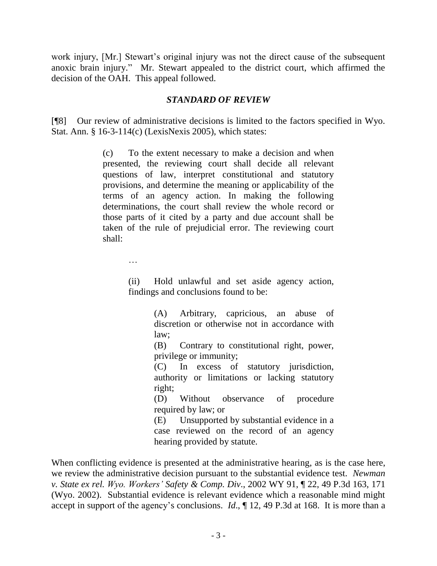work injury, [Mr.] Stewart's original injury was not the direct cause of the subsequent anoxic brain injury." Mr. Stewart appealed to the district court, which affirmed the decision of the OAH. This appeal followed.

## *STANDARD OF REVIEW*

[¶8] Our review of administrative decisions is limited to the factors specified in Wyo. Stat. Ann. § 16-3-114(c) (LexisNexis 2005), which states:

> (c) To the extent necessary to make a decision and when presented, the reviewing court shall decide all relevant questions of law, interpret constitutional and statutory provisions, and determine the meaning or applicability of the terms of an agency action. In making the following determinations, the court shall review the whole record or those parts of it cited by a party and due account shall be taken of the rule of prejudicial error. The reviewing court shall:

> > …

(ii) Hold unlawful and set aside agency action, findings and conclusions found to be:

> (A) Arbitrary, capricious, an abuse of discretion or otherwise not in accordance with law;

> (B) Contrary to constitutional right, power, privilege or immunity;

> (C) In excess of statutory jurisdiction, authority or limitations or lacking statutory right;

> (D) Without observance of procedure required by law; or

> (E) Unsupported by substantial evidence in a case reviewed on the record of an agency hearing provided by statute.

When conflicting evidence is presented at the administrative hearing, as is the case here, we review the administrative decision pursuant to the substantial evidence test. *Newman v. State ex rel. Wyo. Workers' Safety & Comp. Div*., 2002 WY 91, ¶ 22, 49 P.3d 163, 171 (Wyo. 2002). Substantial evidence is relevant evidence which a reasonable mind might accept in support of the agency's conclusions. *Id*., ¶ 12, 49 P.3d at 168. It is more than a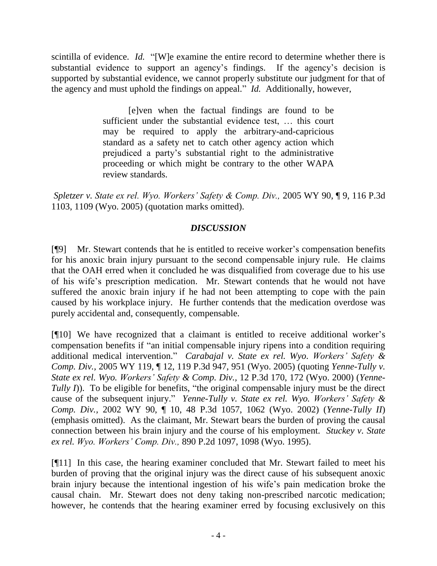scintilla of evidence. *Id.* "[W]e examine the entire record to determine whether there is substantial evidence to support an agency's findings. If the agency's decision is supported by substantial evidence, we cannot properly substitute our judgment for that of the agency and must uphold the findings on appeal." *Id.* Additionally, however,

> [e]ven when the factual findings are found to be sufficient under the substantial evidence test, … this court may be required to apply the arbitrary-and-capricious standard as a safety net to catch other agency action which prejudiced a party's substantial right to the administrative proceeding or which might be contrary to the other WAPA review standards.

*Spletzer v. State ex rel. Wyo. Workers' Safety & Comp. Div.,* 2005 WY 90, ¶ 9, 116 P.3d 1103, 1109 (Wyo. 2005) (quotation marks omitted).

# *DISCUSSION*

[¶9] Mr. Stewart contends that he is entitled to receive worker's compensation benefits for his anoxic brain injury pursuant to the second compensable injury rule. He claims that the OAH erred when it concluded he was disqualified from coverage due to his use of his wife's prescription medication. Mr. Stewart contends that he would not have suffered the anoxic brain injury if he had not been attempting to cope with the pain caused by his workplace injury. He further contends that the medication overdose was purely accidental and, consequently, compensable.

[¶10] We have recognized that a claimant is entitled to receive additional worker's compensation benefits if "an initial compensable injury ripens into a condition requiring additional medical intervention." *Carabajal v. State ex rel. Wyo. Workers' Safety & Comp. Div.,* 2005 WY 119, ¶ 12, 119 P.3d 947, 951 (Wyo. 2005) (quoting *Yenne-Tully v. State ex rel. Wyo. Workers' Safety & Comp. Div.,* 12 P.3d 170, 172 (Wyo. 2000) (*Yenne-Tully I*)). To be eligible for benefits, "the original compensable injury must be the direct cause of the subsequent injury." *Yenne-Tully v. State ex rel. Wyo. Workers' Safety & Comp. Div.,* 2002 WY 90, ¶ 10, 48 P.3d 1057, 1062 (Wyo. 2002) (*Yenne-Tully II*) (emphasis omitted). As the claimant, Mr. Stewart bears the burden of proving the causal connection between his brain injury and the course of his employment. *Stuckey v. State ex rel. Wyo. Workers' Comp. Div.,* 890 P.2d 1097, 1098 (Wyo. 1995).

[¶11] In this case, the hearing examiner concluded that Mr. Stewart failed to meet his burden of proving that the original injury was the direct cause of his subsequent anoxic brain injury because the intentional ingestion of his wife's pain medication broke the causal chain. Mr. Stewart does not deny taking non-prescribed narcotic medication; however, he contends that the hearing examiner erred by focusing exclusively on this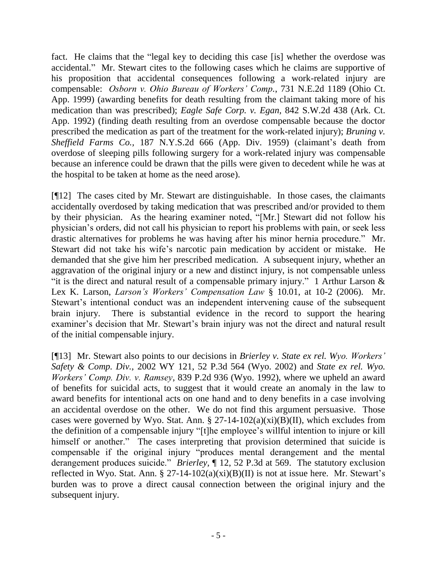fact. He claims that the "legal key to deciding this case [is] whether the overdose was accidental." Mr. Stewart cites to the following cases which he claims are supportive of his proposition that accidental consequences following a work-related injury are compensable: *Osborn v. Ohio Bureau of Workers' Comp.*, 731 N.E.2d 1189 (Ohio Ct. App. 1999) (awarding benefits for death resulting from the claimant taking more of his medication than was prescribed); *Eagle Safe Corp. v. Egan,* 842 S.W.2d 438 (Ark. Ct. App. 1992) (finding death resulting from an overdose compensable because the doctor prescribed the medication as part of the treatment for the work-related injury); *Bruning v. Sheffield Farms Co.,* 187 N.Y.S.2d 666 (App. Div. 1959) (claimant's death from overdose of sleeping pills following surgery for a work-related injury was compensable because an inference could be drawn that the pills were given to decedent while he was at the hospital to be taken at home as the need arose).

[¶12] The cases cited by Mr. Stewart are distinguishable. In those cases, the claimants accidentally overdosed by taking medication that was prescribed and/or provided to them by their physician. As the hearing examiner noted, "[Mr.] Stewart did not follow his physician's orders, did not call his physician to report his problems with pain, or seek less drastic alternatives for problems he was having after his minor hernia procedure." Mr. Stewart did not take his wife's narcotic pain medication by accident or mistake. He demanded that she give him her prescribed medication. A subsequent injury, whether an aggravation of the original injury or a new and distinct injury, is not compensable unless "it is the direct and natural result of a compensable primary injury." 1 Arthur Larson  $\&$ Lex K. Larson, *Larson's Workers' Compensation Law* § 10.01, at 10-2 (2006). Mr. Stewart's intentional conduct was an independent intervening cause of the subsequent brain injury. There is substantial evidence in the record to support the hearing examiner's decision that Mr. Stewart's brain injury was not the direct and natural result of the initial compensable injury.

[¶13] Mr. Stewart also points to our decisions in *Brierley v. State ex rel. Wyo. Workers' Safety & Comp. Div.,* 2002 WY 121, 52 P.3d 564 (Wyo. 2002) and *State ex rel. Wyo. Workers' Comp. Div. v. Ramsey*, 839 P.2d 936 (Wyo. 1992), where we upheld an award of benefits for suicidal acts, to suggest that it would create an anomaly in the law to award benefits for intentional acts on one hand and to deny benefits in a case involving an accidental overdose on the other. We do not find this argument persuasive. Those cases were governed by Wyo. Stat. Ann. §  $27-14-102(a)(xi)(B)(II)$ , which excludes from the definition of a compensable injury "[t]he employee's willful intention to injure or kill himself or another." The cases interpreting that provision determined that suicide is compensable if the original injury "produces mental derangement and the mental derangement produces suicide." *Brierley,* ¶ 12, 52 P.3d at 569. The statutory exclusion reflected in Wyo. Stat. Ann. § 27-14-102(a)(xi)(B)(II) is not at issue here. Mr. Stewart's burden was to prove a direct causal connection between the original injury and the subsequent injury.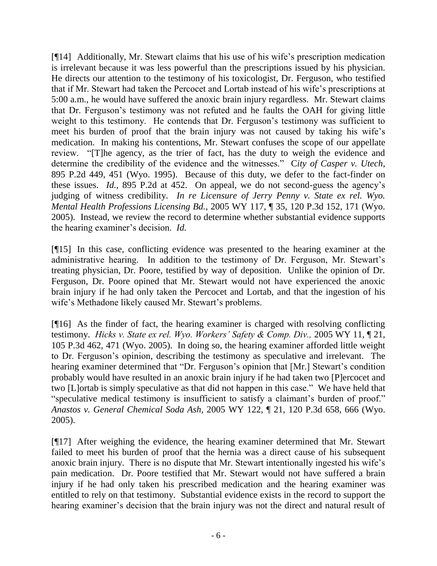[¶14] Additionally, Mr. Stewart claims that his use of his wife's prescription medication is irrelevant because it was less powerful than the prescriptions issued by his physician. He directs our attention to the testimony of his toxicologist, Dr. Ferguson, who testified that if Mr. Stewart had taken the Percocet and Lortab instead of his wife's prescriptions at 5:00 a.m., he would have suffered the anoxic brain injury regardless. Mr. Stewart claims that Dr. Ferguson's testimony was not refuted and he faults the OAH for giving little weight to this testimony. He contends that Dr. Ferguson's testimony was sufficient to meet his burden of proof that the brain injury was not caused by taking his wife's medication. In making his contentions, Mr. Stewart confuses the scope of our appellate review. "[T]he agency, as the trier of fact, has the duty to weigh the evidence and determine the credibility of the evidence and the witnesses." C*[ity of Casper v. Utech](http://www.lexis.com/research/xlink?app=00075&view=full&searchtype=get&search=895+P.2d+451)*, [895 P.2d 449, 451](http://www.lexis.com/research/xlink?app=00075&view=full&searchtype=get&search=895+P.2d+451) (Wyo. 1995). Because of this duty, we defer to the fact-finder on these issues. *Id.*, 895 P.2d at 452. On appeal, we do not second-guess the agency's judging of witness credibility. *In re Licensure of Jerry Penny v. State ex rel. Wyo. Mental Health Professions Licensing Bd.*, 2005 WY 117, ¶ 35, 120 P.3d 152, 171 (Wyo. 2005). Instead, we review the record to determine whether substantial evidence supports the hearing examiner's decision. *Id.*

[¶15] In this case, conflicting evidence was presented to the hearing examiner at the administrative hearing. In addition to the testimony of Dr. Ferguson, Mr. Stewart's treating physician, Dr. Poore, testified by way of deposition. Unlike the opinion of Dr. Ferguson, Dr. Poore opined that Mr. Stewart would not have experienced the anoxic brain injury if he had only taken the Percocet and Lortab, and that the ingestion of his wife's Methadone likely caused Mr. Stewart's problems.

[¶16] As the finder of fact, the hearing examiner is charged with resolving conflicting testimony. *Hicks v. State ex rel. Wyo. Workers' Safety & Comp. Div.,* 2005 WY 11, ¶ 21, 105 P.3d 462, 471 (Wyo. 2005). In doing so, the hearing examiner afforded little weight to Dr. Ferguson's opinion, describing the testimony as speculative and irrelevant. The hearing examiner determined that "Dr. Ferguson's opinion that [Mr.] Stewart's condition probably would have resulted in an anoxic brain injury if he had taken two [P]ercocet and two [L]ortab is simply speculative as that did not happen in this case." We have held that "speculative medical testimony is insufficient to satisfy a claimant's burden of proof." *Anastos v. General Chemical Soda Ash,* 2005 WY 122, ¶ 21, 120 P.3d 658, 666 (Wyo. 2005).

[¶17] After weighing the evidence, the hearing examiner determined that Mr. Stewart failed to meet his burden of proof that the hernia was a direct cause of his subsequent anoxic brain injury. There is no dispute that Mr. Stewart intentionally ingested his wife's pain medication. Dr. Poore testified that Mr. Stewart would not have suffered a brain injury if he had only taken his prescribed medication and the hearing examiner was entitled to rely on that testimony. Substantial evidence exists in the record to support the hearing examiner's decision that the brain injury was not the direct and natural result of